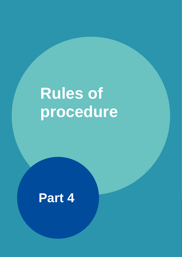# **Rules of procedure**

# **Part 4**

And additional copy if necessary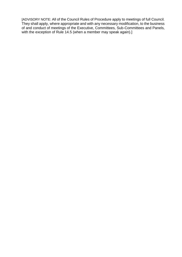[ADVISORY NOTE: All of the Council Rules of Procedure apply to meetings of full Council. They shall apply, where appropriate and with any necessary modification, to the business of and conduct of meetings of the Executive, Committees, Sub-Committees and Panels, with the exception of Rule 14.5 (when a member may speak again).]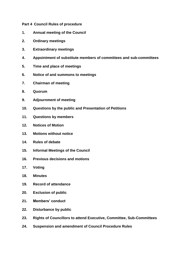# **Part 4 Council Rules of procedure**

- **1. Annual meeting of the Council**
- **2. Ordinary meetings**
- **3. Extraordinary meetings**
- **4. Appointment of substitute members of committees and sub-committees**
- **5. Time and place of meetings**
- **6. Notice of and summons to meetings**
- **7. Chairman of meeting**
- **8. Quorum**
- **9. Adjournment of meeting**
- **10. Questions by the public and Presentation of Petitions**
- **11. Questions by members**
- **12. Notices of Motion**
- **13. Motions without notice**
- **14. Rules of debate**
- **15. Informal Meetings of the Council**
- **16. Previous decisions and motions**
- **17. Voting**
- **18. Minutes**
- **19. Record of attendance**
- **20. Exclusion of public**
- **21. Members' conduct**
- **22. Disturbance by public**
- **23. Rights of Councillors to attend Executive, Committee, Sub-Committees**
- **24. Suspension and amendment of Council Procedure Rules**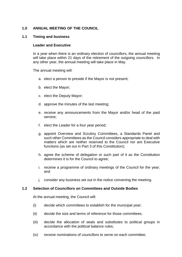# **1.0 ANNUAL MEETING OF THE COUNCIL**

#### **1.1 Timing and business**

#### **Leader and Executive**

In a year when there is an ordinary election of councillors, the annual meeting will take place within 21 days of the retirement of the outgoing councillors. In any other year, the annual meeting will take place in May.

The annual meeting will:

- a. elect a person to preside if the Mayor is not present;
- b. elect the Mayor;
- c. elect the Deputy Mayor;
- d. approve the minutes of the last meeting;
- e. receive any announcements from the Mayor and/or head of the paid service;
- f. elect the Leader for a four year period;
- g. appoint Overview and Scrutiny Committees, a Standards Panel and such other Committees as the Council considers appropriate to deal with matters which are neither reserved to the Council nor are Executive functions (as set out in Part 3 of this Constitution);
- h. agree the scheme of delegation or such part of it as the Constitution determines it is for the Council to agree;
- i. receive a programme of ordinary meetings of the Council for the year; and
- j. consider any business set out in the notice convening the meeting.

#### **1.2 Selection of Councillors on Committees and Outside Bodies**

At the annual meeting, the Council will:

- (i) decide which committees to establish for the municipal year;
- (ii) decide the size and terms of reference for those committees;
- (iii) decide the allocation of seats and substitutes to political groups in accordance with the political balance rules;
- (iv) receive nominations of councillors to serve on each committee;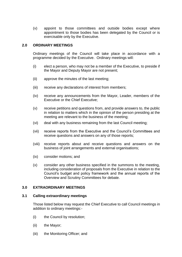(v) appoint to those committees and outside bodies except where appointment to those bodies has been delegated by the Council or is exercisable only by the Executive.

#### **2.0 ORDINARY MEETINGS**

Ordinary meetings of the Council will take place in accordance with a programme decided by the Executive. Ordinary meetings will:

- (i) elect a person, who may not be a member of the Executive, to preside if the Mayor and Deputy Mayor are not present;
- (ii) approve the minutes of the last meeting;
- (iii) receive any declarations of interest from members;
- (iv) receive any announcements from the Mayor, Leader, members of the Executive or the Chief Executive;
- (v) receive petitions and questions from, and provide answers to, the public in relation to matters which in the opinion of the person presiding at the meeting are relevant to the business of the meeting;
- (vi) deal with any business remaining from the last Council meeting;
- (vii) receive reports from the Executive and the Council's Committees and receive questions and answers on any of those reports;
- (viii) receive reports about and receive questions and answers on the business of joint arrangements and external organisations;
- (ix) consider motions; and
- (x) consider any other business specified in the summons to the meeting, including consideration of proposals from the Executive in relation to the Council's budget and policy framework and the annual reports of the Overview and Scrutiny Committees for debate.

# **3.0 EXTRAORDINARY MEETINGS**

#### **3.1 Calling extraordinary meetings**

Those listed below may request the Chief Executive to call Council meetings in addition to ordinary meetings:-

- (i) the Council by resolution;
- (ii) the Mayor;
- (iii) the Monitoring Officer; and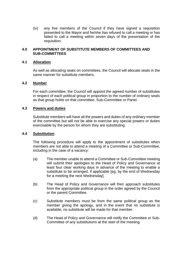(iv) any five members of the Council if they have signed a requisition presented to the Mayor and he/she has refused to call a meeting or has failed to call a meeting within seven days of the presentation of the requisition.

# **4.0 APPOINTMENT OF SUBSTITUTE MEMBERS OF COMMITTEES AND SUB-COMMITTEES**

# **4.1 Allocation**

As well as allocating seats on committees, the Council will allocate seats in the same manner for substitute members.

#### **4.2 Number**

For each committee, the Council will appoint the agreed number of substitutes in respect of each political group in proportion to the number of ordinary seats as that group holds on that committee, Sub-Committee or Panel.

#### **4.3 Powers and duties**

Substitute members will have all the powers and duties of any ordinary member of the committee but will not be able to exercise any special powers or duties exercisable by the person for whom they are substituting.

#### **4.4 Substitution**

The following procedure will apply to the appointment of substitutes when members are not able to attend a meeting of a Committee or Sub-Committee, including in the case of a vacancy:

- (a) The member unable to attend a Committee or Sub-Committee meeting will submit their apologies to the Head of Policy and Governance at least four clear working days in advance of the meeting to enable a substitute to be arranged, if applicable [eg. by the end of Wednesday for a meeting the next Wednesday].
- (b) The Head of Policy and Governance will then approach substitutes from the appropriate political group in the order agreed by the Council or the parent Committee.
- (c) Substitute members must be from the same political group as the member giving the apology, and in the event that no substitute is available, no substitute will be made for that member.
- (d) The Head of Policy and Governance will notify the Committee or Sub-Committee of any substitutions at the start of the meeting.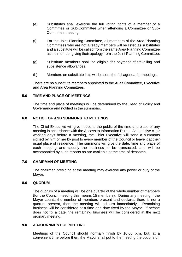- (e) Substitutes shall exercise the full voting rights of a member of a Committee or Sub-Committee when attending a Committee or Sub-Committee meeting.
- (f) For the Joint Planning Committee, all members of the Area Planning Committees who are not already members will be listed as substitutes and a substitute will be called from the same Area Planning Committee as the member giving their apology from the Joint Planning Committee.
- (g) Substitute members shall be eligible for payment of travelling and subsistence allowances.
- (h) Members on substitute lists will be sent the full agenda for meetings.

There are no substitute members appointed to the Audit Committee, Executive and Area Planning Committees.

# **5.0 TIME AND PLACE OF MEETINGS**

The time and place of meetings will be determined by the Head of Policy and Governance and notified in the summons.

# **6.0 NOTICE OF AND SUMMONS TO MEETINGS**

The Chief Executive will give notice to the public of the time and place of any meeting in accordance with the Access to Information Rules. At least five clear working days before a meeting, the Chief Executive will send a summons signed by him or her by post to every member of the Council or leave it at their usual place of residence. The summons will give the date, time and place of each meeting and specify the business to be transacted, and will be accompanied by such reports as are available at the time of despatch.

#### **7.0 CHAIRMAN OF MEETING**

The chairman presiding at the meeting may exercise any power or duty of the Mayor.

#### **8.0 QUORUM**

The quorum of a meeting will be one quarter of the whole number of members (for the Council meeting this means 15 members). During any meeting if the Mayor counts the number of members present and declares there is not a quorum present, then the meeting will adjourn immediately. Remaining business will be considered at a time and date fixed by the Mayor. If he/she does not fix a date, the remaining business will be considered at the next ordinary meeting.

#### **9.0 ADJOURNMENT OF MEETING**

Meetings of the Council should normally finish by 10.00 p.m. but, at a convenient time before then, the Mayor shall put to the meeting the options of: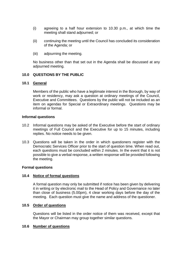- (i) agreeing to a half hour extension to 10.30 p.m., at which time the meeting shall stand adjourned; or
- (ii) continuing the meeting until the Council has concluded its consideration of the Agenda; or
- (iii) adjourning the meeting.

No business other than that set out in the Agenda shall be discussed at any adjourned meeting.

#### **10.0 QUESTIONS BY THE PUBLIC**

#### **10.1 General**

Members of the public who have a legitimate interest in the Borough, by way of work or residency, may ask a question at ordinary meetings of the Council, Executive and Committees. Questions by the public will not be included as an item on agendas for Special or Extraordinary meetings. Questions may be informal or formal.

#### **Informal questions**

- 10.2 Informal questions may be asked of the Executive before the start of ordinary meetings of Full Council and the Executive for up to 15 minutes, including replies. No notice needs to be given.
- 10.3 Questions will be taken in the order in which questioners register with the Democratic Services Officer prior to the start of question time. When read out, each questions must be concluded within 2 minutes. In the event that it is not possible to give a verbal response, a written response will be provided following the meeting.

#### **Formal questions**

#### **10.4 Notice of formal questions**

A formal question may only be submitted if notice has been given by delivering it in writing or by electronic mail to the Head of Policy and Governance no later than close of business (5.00pm), 4 clear working days before the day of the meeting. Each question must give the name and address of the questioner.

# **10.5 Order of questions**

Questions will be listed in the order notice of them was received, except that the Mayor or Chairman may group together similar questions.

#### **10.6 Number of questions**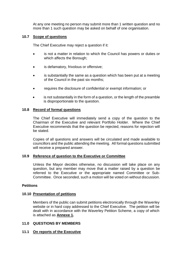At any one meeting no person may submit more than 1 written question and no more than 1 such question may be asked on behalf of one organisation.

# **10.7 Scope of questions**

The Chief Executive may reject a question if it:

- is not a matter in relation to which the Council has powers or duties or which affects the Borough;
- is defamatory, frivolous or offensive;
- is substantially the same as a question which has been put at a meeting of the Council in the past six months;
- requires the disclosure of confidential or exempt information; or
- is not substantially in the form of a question, or the length of the preamble is disproportionate to the question.

#### **10.8 Record of formal questions**

The Chief Executive will immediately send a copy of the question to the Chairman of the Executive and relevant Portfolio Holder. Where the Chief Executive recommends that the question be rejected, reasons for rejection will be stated.

Copies of all questions and answers will be circulated and made available to councillors and the public attending the meeting. All formal questions submitted will receive a prepared answer.

#### **10.9 Reference of question to the Executive or Committee**

Unless the Mayor decides otherwise, no discussion will take place on any question, but any member may move that a matter raised by a question be referred to the Executive or the appropriate named Committee or Sub-Committee. Once seconded, such a motion will be voted on without discussion.

#### **Petitions**

#### **10.10 Presentation of petitions**

Members of the public can submit petitions electronically through the Waverley website or in hard copy addressed to the Chief Executive. The petition will be dealt with in accordance with the Waverley Petition Scheme, a copy of which is attached as **Annexe 1.**

# **11.0 QUESTIONS BY MEMBERS**

# **11.1 On reports of the Executive**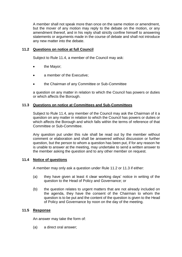A member shall not speak more than once on the same motion or amendment, but the mover of any motion may reply to the debate on the motion, or any amendment thereof, and in his reply shall strictly confine himself to answering statements or arguments made in the course of debate and shall not introduce any new matter into the debate.

# **11.2 Questions on notice at full Council**

Subject to Rule 11.4, a member of the Council may ask:

- the Mayor;
- a member of the Executive;
- the Chairman of any Committee or Sub-Committee

a question on any matter in relation to which the Council has powers or duties or which affects the Borough.

# **11.3 Questions on notice at Committees and Sub-Committees**

Subject to Rule 11.4, any member of the Council may ask the Chairman of it a question on any matter in relation to which the Council has powers or duties or which affects the Borough and which falls within the terms of reference of that Committee or Sub-Committee.

Any question put under this rule shall be read out by the member without comment or elaboration and shall be answered without discussion or further question, but the person to whom a question has been put, if for any reason he is unable to answer at the meeting, may undertake to send a written answer to the member asking the question and to any other member on request.

# **11.4 Notice of questions**

A member may only ask a question under Rule 11.2 or 11.3 if either:

- (a) they have given at least 4 clear working days' notice in writing of the question to the Head of Policy and Governance; or
- (b) the question relates to urgent matters that are not already included on the agenda, they have the consent of the Chairman to whom the question is to be put and the content of the question is given to the Head of Policy and Governance by noon on the day of the meeting.

# **11.5 Response**

An answer may take the form of:

(a) a direct oral answer;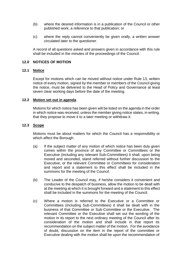- (b) where the desired information is in a publication of the Council or other published work, a reference to that publication; or
- (c) where the reply cannot conveniently be given orally, a written answer circulated later to the questioner.

A record of all questions asked and answers given in accordance with this rule shall be included in the minutes of the proceedings of the Council.

# **12.0 NOTICES OF MOTION**

# **12.1 Notice**

Except for motions which can be moved without notice under Rule 13, written notice of every motion, signed by the member or members of the Council giving the notice, must be delivered to the Head of Policy and Governance at least seven clear working days before the date of the meeting.

#### **12.2 Motion set out in agenda**

Motions for which notice has been given will be listed on the agenda in the order in which notice was received, unless the member giving notice states, in writing, that they propose to move it to a later meeting or withdraw it.

#### **12.3 Scope**

Motions must be about matters for which the Council has a responsibility or which affect the Borough.

- (a) If the subject matter of any motion of which notice has been duly given comes within the province of any Committee or Committees or the Executive (including any relevant Sub-Committees) it shall, upon being moved and seconded, stand referred without further discussion to the Executive, or the relevant Committee or Committees for consideration and report and a statement to this effect shall be included in the summons for the meeting of the Council.
- (b) The Leader of the Council may, if he/she considers it convenient and conducive to the despatch of business, allow the motion to be dealt with at the meeting at which it is brought forward and a statement to this effect shall be included in the summons for the meeting of the Council.
- (c) Where a motion is referred to the Executive or a Committee or Committees (including Sub-Committees) it shall be dealt with in the business of that Committee or Sub-Committee or the Executive. The relevant Committee or the Executive shall set out the wording of the motion in its report to the next ordinary meeting of the Council after its consideration of the motion and shall include in that report its recommendation on the subject matter of the motion. For the avoidance of doubt, discussion on the item in the report of the committee or Executive dealing with the motion shall be upon the recommendation of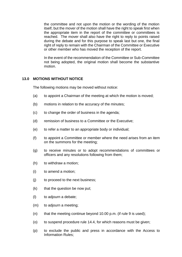the committee and not upon the motion or the wording of the motion itself, but the mover of the motion shall have the right to speak first when the appropriate item in the report of the committee or committees is reached. The mover shall also have the right to reply to points raised during the debate and for this purpose to speak last but one, the final right of reply to remain with the Chairman of the Committee or Executive or other member who has moved the reception of the report.

In the event of the recommendation of the Committee or Sub-Committee not being adopted, the original motion shall become the substantive motion.

# **13.0 MOTIONS WITHOUT NOTICE**

The following motions may be moved without notice:

- (a) to appoint a Chairman of the meeting at which the motion is moved;
- (b) motions in relation to the accuracy of the minutes;
- (c) to change the order of business in the agenda;
- (d) remission of business to a Committee or the Executive;
- (e) to refer a matter to an appropriate body or individual;
- (f) to appoint a Committee or member where the need arises from an item on the summons for the meeting;
- (g) to receive minutes or to adopt recommendations of committees or officers and any resolutions following from them;
- (h) to withdraw a motion;
- (i) to amend a motion;
- (j) to proceed to the next business;
- (k) that the question be now put;
- (l) to adjourn a debate;
- (m) to adjourn a meeting;
- (n) that the meeting continue beyond 10.00 p.m. (if rule 9 is used);
- (o) to suspend procedure rule 14.4, for which reasons must be given;
- (p) to exclude the public and press in accordance with the Access to Information Rules;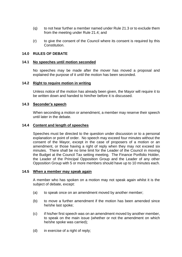- (q) to not hear further a member named under Rule 21.3 or to exclude them from the meeting under Rule 21.4; and
- (r) to give the consent of the Council where its consent is required by this Constitution.

#### **14.0 RULES OF DEBATE**

#### **14.1 No speeches until motion seconded**

No speeches may be made after the mover has moved a proposal and explained the purpose of it until the motion has been seconded.

#### **14.2 Right to require motion in writing**

Unless notice of the motion has already been given, the Mayor will require it to be written down and handed to him/her before it is discussed.

#### **14.3 Seconder's speech**

When seconding a motion or amendment, a member may reserve their speech until later in the debate.

#### **14.4 Content and length of speeches**

Speeches must be directed to the question under discussion or to a personal explanation or point of order. No speech may exceed four minutes without the consent of the Mayor, except in the case of proposers of a motion or an amendment, or those having a right of reply when they may not exceed six minutes. There shall be no time limit for the Leader of the Council in moving the Budget at the Council Tax setting meeting. The Finance Portfolio Holder, the Leader of the Principal Opposition Group and the Leader of any other Opposition Group with 5 or more members should have up to 10 minutes each.

#### **14.5 When a member may speak again**

A member who has spoken on a motion may not speak again whilst it is the subject of debate, except:

- (a) to speak once on an amendment moved by another member;
- (b) to move a further amendment if the motion has been amended since he/she last spoke;
- (c) if his/her first speech was on an amendment moved by another member, to speak on the main issue (whether or not the amendment on which he/she spoke was carried);
- (d) in exercise of a right of reply;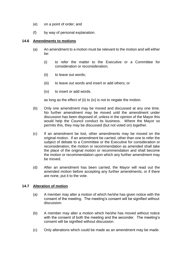- (e) on a point of order; and
- (f) by way of personal explanation.

#### **14.6 Amendments to motions**

- (a) An amendment to a motion must be relevant to the motion and will either be:
	- (i) to refer the matter to the Executive or a Committee for consideration or reconsideration;
	- (ii) to leave out words;
	- (iii) to leave out words and insert or add others; or
	- (iv) to insert or add words.

as long as the effect of (ii) to (iv) is not to negate the motion.

- (b) Only one amendment may be moved and discussed at any one time. No further amendment may be moved until the amendment under discussion has been disposed of, unless in the opinion of the Mayor this would help the Council conduct its business. Where the Mayor so permits this, they may be discussed (but not voted on) together.
- (c) If an amendment be lost, other amendments may be moved on the original motion. If an amendment be carried, other than one to refer the subject of debate to a Committee or the Executive for consideration or reconsideration, the motion or recommendation as amended shall take the place of the original motion or recommendation and shall become the motion or recommendation upon which any further amendment may be moved.
- (d) After an amendment has been carried, the Mayor will read out the amended motion before accepting any further amendments, or if there are none, put it to the vote.

# **14.7 Alteration of motion**

- (a) A member may alter a motion of which he/she has given notice with the consent of the meeting. The meeting's consent will be signified without discussion.
- (b) A member may alter a motion which he/she has moved without notice with the consent of both the meeting and the seconder. The meeting's consent will be signified without discussion.
- (c) Only alterations which could be made as an amendment may be made.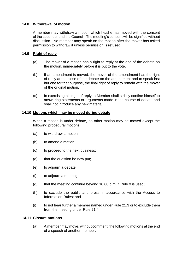# **14.8 Withdrawal of motion**

A member may withdraw a motion which he/she has moved with the consent of the seconder and the Council. The meeting's consent will be signified without discussion. No member may speak on the motion after the mover has asked permission to withdraw it unless permission is refused.

# **14.9 Right of reply**

- (a) The mover of a motion has a right to reply at the end of the debate on the motion, immediately before it is put to the vote.
- (b) If an amendment is moved, the mover of the amendment has the right of reply at the close of the debate on the amendment and to speak last but one for that purpose, the final right of reply to remain with the mover of the original motion.
- (c) In exercising his right of reply, a Member shall strictly confine himself to answering statements or arguments made in the course of debate and shall not introduce any new material.

# **14.10 Motions which may be moved during debate**

When a motion is under debate, no other motion may be moved except the following procedural motions:

- (a) to withdraw a motion;
- (b) to amend a motion;
- (c) to proceed to the next business;
- (d) that the question be now put;
- (e) to adjourn a debate;
- (f) to adjourn a meeting;
- $(q)$  that the meeting continue beyond 10.00 p.m. if Rule 9 is used;
- (h) to exclude the public and press in accordance with the Access to Information Rules; and
- (i) to not hear further a member named under Rule 21.3 or to exclude them from the meeting under Rule 21.4.

# **14.11 Closure motions**

(a) A member may move, without comment, the following motions at the end of a speech of another member: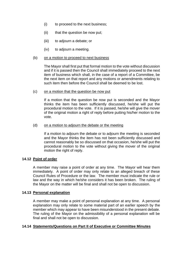- (i) to proceed to the next business;
- (ii) that the question be now put;
- (iii) to adjourn a debate; or
- (iv) to adjourn a meeting.

#### (b) on a motion to proceed to next business

The Mayor shall first put that formal motion to the vote without discussion and if it is passed then the Council shall immediately proceed to the next item of business which shall, in the case of a report of a Committee, be the next item on that report and any motions or amendments relating to such item then before the Council shall be deemed to be lost.

#### (c) on a motion that the question be now put

If a motion that the question be now put is seconded and the Mayor thinks the item has been sufficiently discussed, he/she will put the procedural motion to the vote. If it is passed, he/she will give the mover of the original motion a right of reply before putting his/her motion to the vote.

(d) on a motion to adjourn the debate or the meeting

If a motion to adjourn the debate or to adjourn the meeting is seconded and the Mayor thinks the item has not been sufficiently discussed and cannot reasonably be so discussed on that occasion, he/she will put the procedural motion to the vote without giving the mover of the original motion the right of reply.

# **14.12 Point of order**

A member may raise a point of order at any time. The Mayor will hear them immediately. A point of order may only relate to an alleged breach of these Council Rules of Procedure or the law. The member must indicate the rule or law and the way in which he/she considers it has been broken. The ruling of the Mayor on the matter will be final and shall not be open to discussion.

# **14.13 Personal explanation**

A member may make a point of personal explanation at any time. A personal explanation may only relate to some material part of an earlier speech by the member which may appear to have been misunderstood in the present debate. The ruling of the Mayor on the admissibility of a personal explanation will be final and shall not be open to discussion.

# **14.14 Statements/Questions on Part II of Executive or Committee Minutes**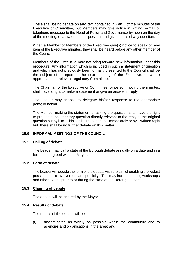There shall be no debate on any item contained in Part II of the minutes of the Executive or Committee, but Members may give notice in writing, e-mail or telephone message to the Head of Policy and Governance by noon on the day of the meeting, of a statement or question, and give details of any question.

When a Member or Members of the Executive give(s) notice to speak on any item of the Executive minutes, they shall be heard before any other member of the Council.

Members of the Executive may not bring forward new information under this procedure. Any information which is included in such a statement or question and which has not previously been formally presented to the Council shall be the subject of a report to the next meeting of the Executive, or where appropriate the relevant regulatory Committee.

The Chairman of the Executive or Committee, or person moving the minutes, shall have a right to make a statement or give an answer in reply.

The Leader may choose to delegate his/her response to the appropriate portfolio holder.

The Member making the statement or asking the question shall have the right to put one supplementary question directly relevant to the reply to the original question put by him. This can be responded to immediately or by a written reply but, there shall be no further debate on this matter.

# **15.0 INFORMAL MEETINGS OF THE COUNCIL**

#### **15.1 Calling of debate**

The Leader may call a state of the Borough debate annually on a date and in a form to be agreed with the Mayor.

#### **15.2 Form of debate**

The Leader will decide the form of the debate with the aim of enabling the widest possible public involvement and publicity. This may include holding workshops and other events prior to or during the state of the Borough debate.

#### **15.3 Chairing of debate**

The debate will be chaired by the Mayor.

# **15.4 Results of debate**

The results of the debate will be:

(i) disseminated as widely as possible within the community and to agencies and organisations in the area; and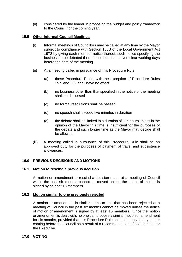(ii) considered by the leader in proposing the budget and policy framework to the Council for the coming year.

# **15.5 Other Informal Council Meetings**

- (i) Informal meetings of Councillors may be called at any time by the Mayor subject to compliance with Section 100B of the Local Government Act 1972 by giving each member notice thereof, such notice specifying the business to be debated thereat, not less than seven clear working days before the date of the meeting.
- (ii) At a meeting called in pursuance of this Procedure Rule
	- (a) these Procedure Rules, with the exception of Procedure Rules 15.5 and 2(i), shall have no effect
	- (b) no business other than that specified in the notice of the meeting shall be discussed
	- (c) no formal resolutions shall be passed
	- (d) no speech shall exceed five minutes in duration
	- (e) the debate shall be limited to a duration of 1  $\frac{1}{2}$  hours unless in the opinion of the Mayor this time is insufficient for the purposes of the debate and such longer time as the Mayor may decide shall be allowed.
- (iii) A meeting called in pursuance of this Procedure Rule shall be an approved duty for the purposes of payment of travel and subsistence allowances.

# **16.0 PREVIOUS DECISIONS AND MOTIONS**

# **16.1 Motion to rescind a previous decision**

A motion or amendment to rescind a decision made at a meeting of Council within the past six months cannot be moved unless the notice of motion is signed by at least 15 members.

# **16.2 Motion similar to one previously rejected**

A motion or amendment in similar terms to one that has been rejected at a meeting of Council in the past six months cannot be moved unless the notice of motion or amendment is signed by at least 15 members. Once the motion or amendment is dealt with, no one can propose a similar motion or amendment for six months, provided that this Procedure Rule shall not apply to any matter coming before the Council as a result of a recommendation of a Committee or the Executive.

# **17.0 VOTING**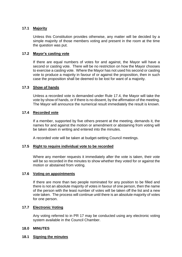# **17.1 Majority**

Unless this Constitution provides otherwise, any matter will be decided by a simple majority of those members voting and present in the room at the time the question was put.

# **17.2 Mayor's casting vote**

If there are equal numbers of votes for and against, the Mayor will have a second or casting vote. There will be no restriction on how the Mayor chooses to exercise a casting vote. Where the Mayor has not used his second or casting vote to produce a majority in favour of or against the proposition, then in such case the proposition shall be deemed to be lost for want of a majority.

# **17.3 Show of hands**

Unless a recorded vote is demanded under Rule 17.4, the Mayor will take the vote by show of hands, or if there is no dissent, by the affirmation of the meeting. The Mayor will announce the numerical result immediately the result is known.

# **17.4 Recorded vote**

If a member, supported by five others present at the meeting, demands it, the names for and against the motion or amendment or abstaining from voting will be taken down in writing and entered into the minutes.

A recorded vote will be taken at budget-setting Council meetings.

# **17.5 Right to require individual vote to be recorded**

Where any member requests it immediately after the vote is taken, their vote will be so recorded in the minutes to show whether they voted for or against the motion or abstained from voting.

# **17.6 Voting on appointments**

If there are more than two people nominated for any position to be filled and there is not an absolute majority of votes in favour of one person, then the name of the person with the least number of votes will be taken off the list and a new vote taken. The process will continue until there is an absolute majority of votes for one person.

# **17.7 Electronic Voting**

Any voting referred to in PR 17 may be conducted using any electronic voting system available in the Council Chamber.

# **18.0 MINUTES**

# **18.1 Signing the minutes**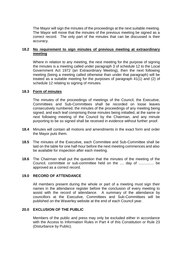The Mayor will sign the minutes of the proceedings at the next suitable meeting. The Mayor will move that the minutes of the previous meeting be signed as a correct record. The only part of the minutes that can be discussed is their accuracy.

# **18.2 No requirement to sign minutes of previous meeting at extraordinary meeting**

Where in relation to any meeting, the next meeting for the purpose of signing the minutes is a meeting called under paragraph 3 of schedule 12 to the Local Government Act 1972 (an Extraordinary Meeting), then the next following meeting (being a meeting called otherwise than under that paragraph) will be treated as a suitable meeting for the purposes of paragraph 41(1) and (2) of schedule 12 relating to signing of minutes.

# **18.3 Form of minutes**

The minutes of the proceedings of meetings of the Council, the Executive, Committees and Sub-Committees shall be recorded on loose leaves consecutively numbered, the minutes of the proceedings of any meeting being signed, and each leaf comprising those minutes being initialled, at the same or next following meeting of the Council by the Chairman, and any minute purporting to be so signed shall be received in evidence without further proof.

- **18.4** Minutes will contain all motions and amendments in the exact form and order the Mayor puts them.
- **18.5** The minutes of the Executive, each Committee and Sub-Committee shall be laid on the table for one half-hour before the next meeting commences and also be available for inspection after each meeting.
- **18.6** The Chairman shall put the question that the minutes of the meeting of the Council, committee or sub-committee held on the .... day of ............... be approved as a correct record.

# **19.0 RECORD OF ATTENDANCE**

All members present during the whole or part of a meeting must sign their names in the attendance register before the conclusion of every meeting to assist with the record of attendance. A summary of the attendance by councillors at the Executive, Committees and Sub-Committees will be published on the Waverley website at the end of each Council year.

# **20.0 EXCLUSION OF THE PUBLIC**

Members of the public and press may only be excluded either in accordance with the Access to Information Rules in Part 4 of this Constitution or Rule 23 (Disturbance by Public).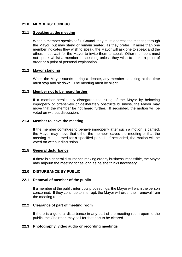# **21.0 MEMBERS' CONDUCT**

#### **21.1 Speaking at the meeting**

When a member speaks at full Council they must address the meeting through the Mayor, but may stand or remain seated, as they prefer. If more than one member indicates they wish to speak, the Mayor will ask one to speak and the others must wait for the Mayor to invite them to speak. Other members must not speak whilst a member is speaking unless they wish to make a point of order or a point of personal explanation.

# **21.2 Mayor standing**

When the Mayor stands during a debate, any member speaking at the time must stop and sit down. The meeting must be silent.

#### **21.3 Member not to be heard further**

If a member persistently disregards the ruling of the Mayor by behaving improperly or offensively or deliberately obstructs business, the Mayor may move that the member be not heard further. If seconded, the motion will be voted on without discussion.

#### **21.4 Member to leave the meeting**

If the member continues to behave improperly after such a motion is carried, the Mayor may move that either the member leaves the meeting or that the meeting is adjourned for a specified period. If seconded, the motion will be voted on without discussion.

#### **21.5 General disturbance**

If there is a general disturbance making orderly business impossible, the Mayor may adjourn the meeting for as long as he/she thinks necessary.

#### **22.0 DISTURBANCE BY PUBLIC**

#### **22.1 Removal of member of the public**

If a member of the public interrupts proceedings, the Mayor will warn the person concerned. If they continue to interrupt, the Mayor will order their removal from the meeting room.

#### **22.2 Clearance of part of meeting room**

If there is a general disturbance in any part of the meeting room open to the public, the Chairman may call for that part to be cleared.

#### **22.3 Photography, video audio or recording meetings**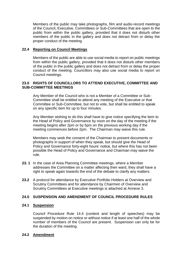Members of the public may take photographs, film and audio-record meetings of the Council, Executive, Committees or Sub-Committees that are open to the public from within the public gallery, provided that it does not disturb other members of the public in the gallery and does not detract from or delay the proper conduct of the meeting.

# **22.4 Reporting on Council Meetings**

Members of the public are able to use social media to report on public meetings from within the public gallery, provided that it does not disturb other members of the public in the public gallery and does not detract from or delay the proper conduct of the meeting. Councillors may also use social media to report on Council meetings.

# **23.0 RIGHTS OF COUNCILLORS TO ATTEND EXECUTIVE, COMMITTEE AND SUB-COMMITTEE MEETINGS**

Any Member of the Council who is not a Member of a Committee or Sub-Committee shall be entitled to attend any meeting of the Executive or that Committee or Sub-Committee, but not to vote, but shall be entitled to speak on any specific item for up to four minutes.

Any Member wishing to do this shall have to give notice specifying the item to the Head of Policy and Governance by noon on the day of the meeting if the meeting begins after 2pm or by 5pm on the previous working day if the meeting commences before 2pm. The Chairman may waive this rule.

Members may seek the consent of the Chairman to present documents or photographs in support of when they speak, but should give the Head of Policy and Governance forty-eight hours' notice, but where this has not been possible the Head of Policy and Governance and Chairman may waive the rule.

- **23. 1** In the case of Area Planning Committee meetings, where a Member addresses the Committee on a matter affecting their ward, they shall have a right to speak again towards the end of the debate to clarify any matters.
- **23.2** A protocol for attendance by Executive Portfolio Holders at Overview and Scrutiny Committees and for attendance by Chairmen of Overview and Scrutiny Committees at Executive meetings is attached at Annexe 3.

# **24.0 SUSPENSION AND AMENDMENT OF COUNCIL PROCEDURE RULES**

# **24.1 Suspension**

Council Procedure Rule 14.4 (content and length of speeches) may be suspended by motion on notice or without notice if at least one half of the whole number of members of the Council are present. Suspension can only be for the duration of the meeting.

# **24.2 Amendment**